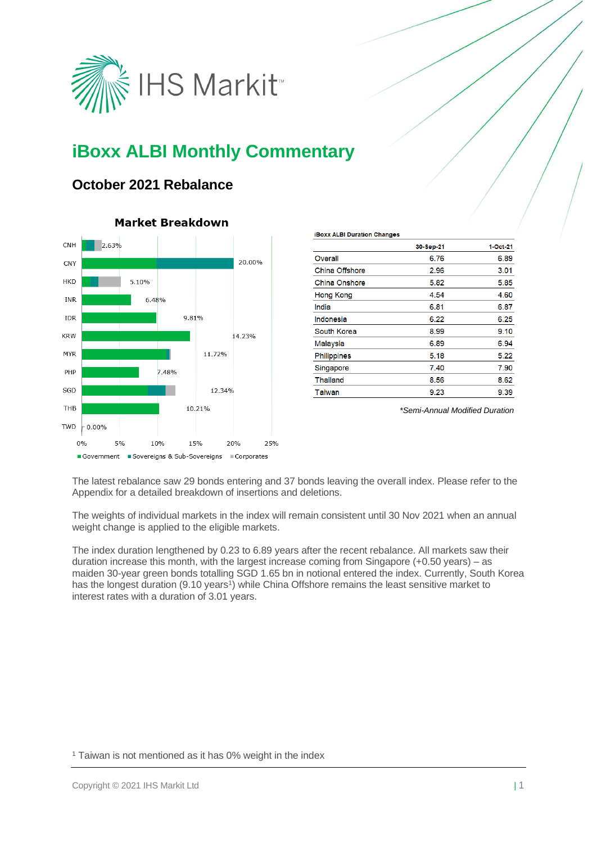

# **iBoxx ALBI Monthly Commentary**

### **October 2021 Rebalance**



### **Market Breakdown**

| . .                  |           |          |
|----------------------|-----------|----------|
|                      | 30-Sep-21 | 1-Oct-21 |
| Overall              | 6.76      | 6.89     |
| China Offshore       | 2.96      | 3.01     |
| <b>China Onshore</b> | 5.82      | 5.85     |
| <b>Hong Kong</b>     | 4.54      | 4.60     |
| India                | 6.81      | 6.87     |
| Indonesia            | 6.22      | 6.25     |
| South Korea          | 8.99      | 9.10     |
| Malaysia             | 6.89      | 6.94     |
| <b>Philippines</b>   | 5.18      | 5.22     |
| Singapore            | 7.40      | 7.90     |
| <b>Thailand</b>      | 8.56      | 8.62     |
| Taiwan               | 9.23      | 9.39     |
|                      |           |          |

**iBoxx ALBI Duration Changes** 

*\*Semi-Annual Modified Duration*

The latest rebalance saw 29 bonds entering and 37 bonds leaving the overall index. Please refer to the Appendix for a detailed breakdown of insertions and deletions.

The weights of individual markets in the index will remain consistent until 30 Nov 2021 when an annual weight change is applied to the eligible markets.

The index duration lengthened by 0.23 to 6.89 years after the recent rebalance. All markets saw their duration increase this month, with the largest increase coming from Singapore (+0.50 years) – as maiden 30-year green bonds totalling SGD 1.65 bn in notional entered the index. Currently, South Korea has the longest duration (9.10 years<sup>1</sup>) while China Offshore remains the least sensitive market to interest rates with a duration of 3.01 years.

<sup>1</sup> Taiwan is not mentioned as it has 0% weight in the index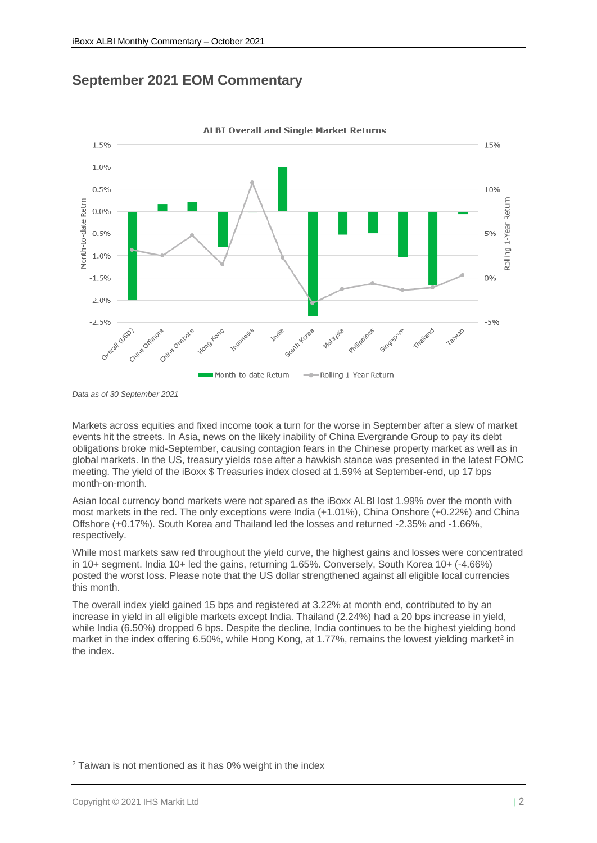### **September 2021 EOM Commentary**



**ALBI Overall and Single Market Returns** 

Markets across equities and fixed income took a turn for the worse in September after a slew of market events hit the streets. In Asia, news on the likely inability of China Evergrande Group to pay its debt obligations broke mid-September, causing contagion fears in the Chinese property market as well as in global markets. In the US, treasury yields rose after a hawkish stance was presented in the latest FOMC meeting. The yield of the iBoxx \$ Treasuries index closed at 1.59% at September-end, up 17 bps month-on-month.

Asian local currency bond markets were not spared as the iBoxx ALBI lost 1.99% over the month with most markets in the red. The only exceptions were India (+1.01%), China Onshore (+0.22%) and China Offshore (+0.17%). South Korea and Thailand led the losses and returned -2.35% and -1.66%, respectively.

While most markets saw red throughout the yield curve, the highest gains and losses were concentrated in 10+ segment. India 10+ led the gains, returning 1.65%. Conversely, South Korea 10+ (-4.66%) posted the worst loss. Please note that the US dollar strengthened against all eligible local currencies this month.

The overall index yield gained 15 bps and registered at 3.22% at month end, contributed to by an increase in yield in all eligible markets except India. Thailand (2.24%) had a 20 bps increase in yield, while India (6.50%) dropped 6 bps. Despite the decline, India continues to be the highest yielding bond market in the index offering 6.50%, while Hong Kong, at 1.77%, remains the lowest yielding market<sup>2</sup> in the index.

*Data as of 30 September 2021*

<sup>2</sup> Taiwan is not mentioned as it has 0% weight in the index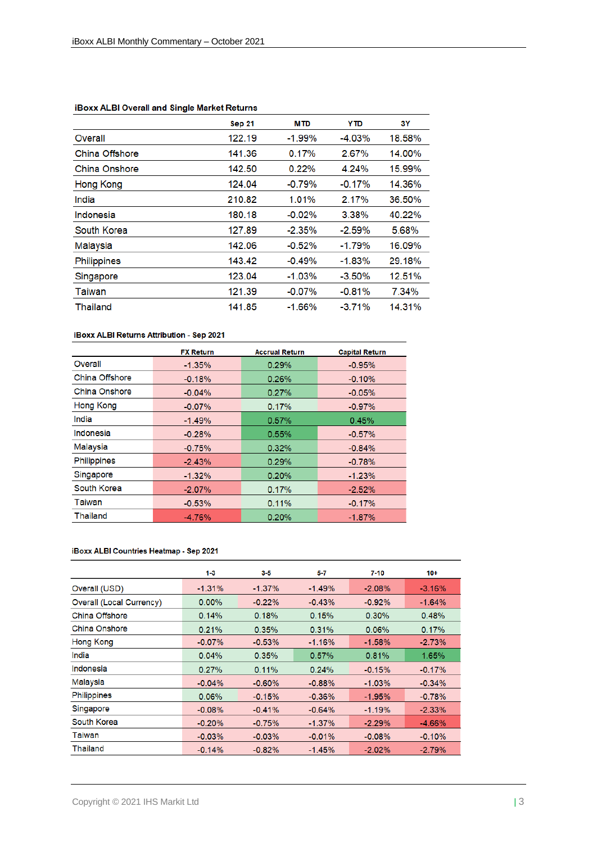|                    | <b>Sep 21</b> | <b>MTD</b> | <b>YTD</b> | 3Υ     |
|--------------------|---------------|------------|------------|--------|
| Overall            | 122.19        | $-1.99\%$  | $-4.03%$   | 18.58% |
| China Offshore     | 141.36        | 0.17%      | 2.67%      | 14.00% |
| China Onshore      | 142.50        | 0.22%      | 4.24%      | 15.99% |
| Hong Kong          | 124.04        | $-0.79%$   | $-0.17%$   | 14.36% |
| India              | 210.82        | 1.01%      | 2.17%      | 36.50% |
| Indonesia          | 180.18        | $-0.02\%$  | 3.38%      | 40.22% |
| South Korea        | 127.89        | $-2.35%$   | $-2.59\%$  | 5.68%  |
| Malaysia           | 142.06        | $-0.52%$   | $-1.79%$   | 16.09% |
| <b>Philippines</b> | 143.42        | $-0.49%$   | $-1.83%$   | 29.18% |
| Singapore          | 123.04        | $-1.03%$   | $-3.50%$   | 12.51% |
| Taiwan             | 121.39        | $-0.07%$   | $-0.81%$   | 7.34%  |
| Thailand           | 141.85        | $-1.66%$   | $-3.71%$   | 14.31% |

#### **iBoxx ALBI Overall and Single Market Returns**

#### iBoxx ALBI Returns Attribution - Sep 2021

|                    | <b>FX Return</b> | <b>Accrual Return</b> | <b>Capital Return</b> |
|--------------------|------------------|-----------------------|-----------------------|
| Overall            | $-1.35%$         | 0.29%                 | $-0.95%$              |
| China Offshore     | $-0.18%$         | 0.26%                 | $-0.10%$              |
| China Onshore      | $-0.04%$         | 0.27%                 | $-0.05%$              |
| <b>Hong Kong</b>   | $-0.07%$         | 0.17%                 | $-0.97%$              |
| India              | $-1.49%$         | 0.57%                 | 0.45%                 |
| Indonesia          | $-0.28%$         | 0.55%                 | $-0.57\%$             |
| Malaysia           | $-0.75%$         | 0.32%                 | $-0.84%$              |
| <b>Philippines</b> | $-2.43%$         | 0.29%                 | $-0.78%$              |
| Singapore          | $-1.32%$         | 0.20%                 | $-1.23%$              |
| South Korea        | $-2.07%$         | 0.17%                 | $-2.52%$              |
| Taiwan             | $-0.53%$         | 0.11%                 | $-0.17%$              |
| Thailand           | $-4.76%$         | 0.20%                 | $-1.87\%$             |

#### iBoxx ALBI Countries Heatmap - Sep 2021

|                          | $1 - 3$  | $3-5$     | 5-7       | $7 - 10$  | $10+$     |
|--------------------------|----------|-----------|-----------|-----------|-----------|
| Overall (USD)            | $-1.31%$ | $-1.37\%$ | $-1.49%$  | $-2.08\%$ | $-3.16%$  |
| Overall (Local Currency) | $0.00\%$ | $-0.22%$  | $-0.43%$  | $-0.92%$  | $-1.64%$  |
| China Offshore           | 0.14%    | 0.18%     | 0.15%     | 0.30%     | 0.48%     |
| China Onshore            | 0.21%    | 0.35%     | 0.31%     | 0.06%     | 0.17%     |
| Hong Kong                | $-0.07%$ | $-0.53%$  | $-1.16%$  | $-1.58%$  | $-2.73%$  |
| India                    | 0.04%    | 0.35%     | 0.57%     | 0.81%     | 1.65%     |
| Indonesia                | 0.27%    | 0.11%     | 0.24%     | $-0.15%$  | $-0.17%$  |
| Malaysia                 | $-0.04%$ | $-0.60%$  | $-0.88%$  | $-1.03%$  | $-0.34%$  |
| <b>Philippines</b>       | 0.06%    | $-0.15%$  | $-0.36%$  | $-1.95%$  | $-0.78%$  |
| Singapore                | $-0.08%$ | $-0.41%$  | $-0.64%$  | $-1.19%$  | $-2.33%$  |
| South Korea              | $-0.20%$ | $-0.75%$  | $-1.37\%$ | $-2.29%$  | $-4.66\%$ |
| Taiwan                   | $-0.03%$ | $-0.03%$  | $-0.01%$  | $-0.08%$  | $-0.10%$  |
| Thailand                 | $-0.14%$ | $-0.82%$  | $-1.45%$  | $-2.02%$  | $-2.79%$  |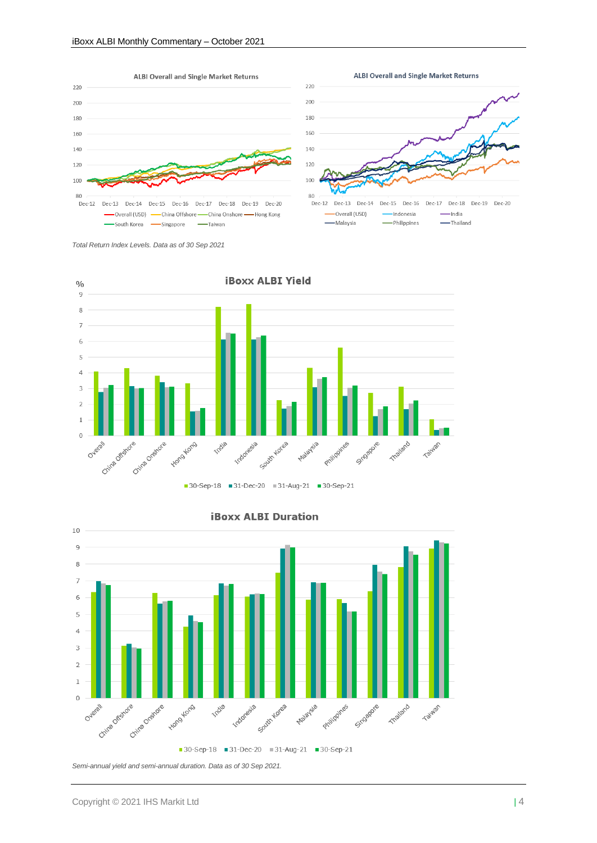



**ALBI Overall and Single Market Returns** 

*Total Return Index Levels. Data as of 30 Sep 2021*





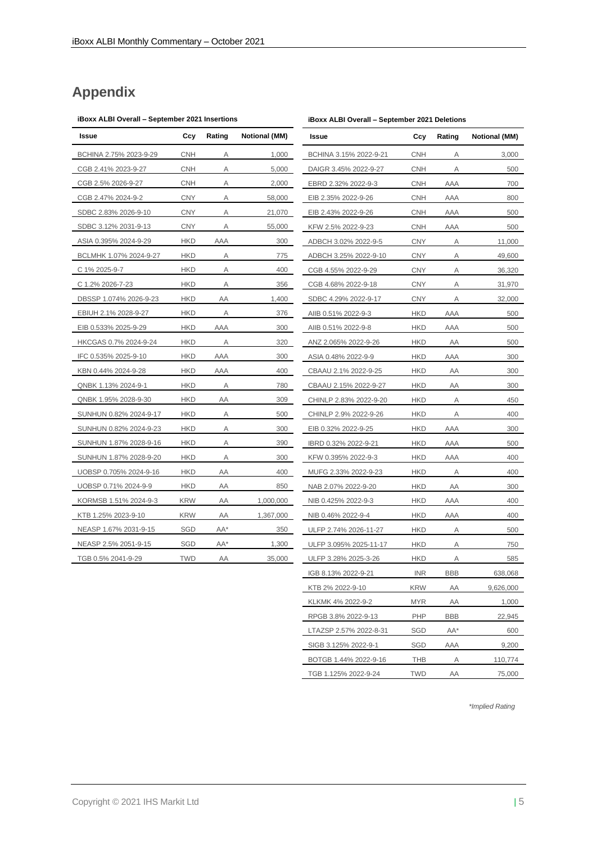## **Appendix**

#### **iBoxx ALBI Overall – September 2021 Insertions**

| Issue                  | Ccy        | Rating | <b>Notional (MM)</b> |
|------------------------|------------|--------|----------------------|
| BCHINA 2.75% 2023-9-29 | <b>CNH</b> | Α      | 1,000                |
| CGB 2.41% 2023-9-27    | <b>CNH</b> | Α      | 5,000                |
| CGB 2.5% 2026-9-27     | <b>CNH</b> | Α      | 2,000                |
| CGB 2.47% 2024-9-2     | <b>CNY</b> | Α      | 58,000               |
| SDBC 2.83% 2026-9-10   | <b>CNY</b> | Α      | 21,070               |
| SDBC 3.12% 2031-9-13   | CNY        | Α      | 55,000               |
| ASIA 0.395% 2024-9-29  | <b>HKD</b> | AAA    | 300                  |
| BCLMHK 1.07% 2024-9-27 | <b>HKD</b> | Α      | 775                  |
| C 1% 2025-9-7          | <b>HKD</b> | Α      | 400                  |
| C 1.2% 2026-7-23       | <b>HKD</b> | Α      | 356                  |
| DBSSP 1.074% 2026-9-23 | <b>HKD</b> | AA     | 1,400                |
| EBIUH 2.1% 2028-9-27   | <b>HKD</b> | Α      | 376                  |
| EIB 0.533% 2025-9-29   | <b>HKD</b> | AAA    | 300                  |
| HKCGAS 0.7% 2024-9-24  | <b>HKD</b> | Α      | 320                  |
| IFC 0.535% 2025-9-10   | <b>HKD</b> | AAA    | 300                  |
| KBN 0.44% 2024-9-28    | <b>HKD</b> | AAA    | 400                  |
| QNBK 1.13% 2024-9-1    | <b>HKD</b> | Α      | 780                  |
| QNBK 1.95% 2028-9-30   | <b>HKD</b> | AA     | 309                  |
| SUNHUN 0.82% 2024-9-17 | <b>HKD</b> | Α      | 500                  |
| SUNHUN 0.82% 2024-9-23 | <b>HKD</b> | Α      | 300                  |
| SUNHUN 1.87% 2028-9-16 | <b>HKD</b> | Α      | 390                  |
| SUNHUN 1.87% 2028-9-20 | HKD        | Α      | 300                  |
| UOBSP 0.705% 2024-9-16 | <b>HKD</b> | ΑA     | 400                  |
| UOBSP 0.71% 2024-9-9   | <b>HKD</b> | ΑA     | 850                  |
| KORMSB 1.51% 2024-9-3  | KRW        | ΑA     | 1,000,000            |
| KTB 1.25% 2023-9-10    | <b>KRW</b> | ΑA     | 1,367,000            |
| NEASP 1.67% 2031-9-15  | SGD        | AA*    | 350                  |
| NEASP 2.5% 2051-9-15   | SGD        | AA*    | 1,300                |
| TGB 0.5% 2041-9-29     | <b>TWD</b> | AA     | 35,000               |

| Issue                  | Ccy        | Rating | <b>Notional (MM)</b> |
|------------------------|------------|--------|----------------------|
| BCHINA 3.15% 2022-9-21 | <b>CNH</b> | Α      | 3,000                |
| DAIGR 3.45% 2022-9-27  | <b>CNH</b> | Α      | 500                  |
| EBRD 2.32% 2022-9-3    | <b>CNH</b> | AAA    | 700                  |
| EIB 2.35% 2022-9-26    | CNH        | AAA    | 800                  |
| EIB 2.43% 2022-9-26    | <b>CNH</b> | AAA    | 500                  |
| KFW 2.5% 2022-9-23     | <b>CNH</b> | AAA    | 500                  |
| ADBCH 3.02% 2022-9-5   | <b>CNY</b> | Α      | 11,000               |
| ADBCH 3.25% 2022-9-10  | <b>CNY</b> | Α      | 49,600               |
| CGB 4.55% 2022-9-29    | CNY        | Α      | 36,320               |
| CGB 4.68% 2022-9-18    | CNY        | Α      | 31,970               |
| SDBC 4.29% 2022-9-17   | CNY        | Α      | 32,000               |
| AIIB 0.51% 2022-9-3    | HKD        | AAA    | 500                  |
| AIIB 0.51% 2022-9-8    | <b>HKD</b> | AAA    | 500                  |
| ANZ 2.065% 2022-9-26   | <b>HKD</b> | ΑA     | 500                  |
| ASIA 0.48% 2022-9-9    | <b>HKD</b> | AAA    | 300                  |
| CBAAU 2.1% 2022-9-25   | HKD        | ΑA     | 300                  |
| CBAAU 2.15% 2022-9-27  | <b>HKD</b> | ΑA     | 300                  |
| CHINLP 2.83% 2022-9-20 | <b>HKD</b> | А      | 450                  |
| CHINLP 2.9% 2022-9-26  | HKD        | Α      | 400                  |
| EIB 0.32% 2022-9-25    | HKD        | AAA    | 300                  |
| IBRD 0.32% 2022-9-21   | HKD        | AAA    | 500                  |
| KFW 0.395% 2022-9-3    | HKD        | AAA    | 400                  |
| MUFG 2.33% 2022-9-23   | <b>HKD</b> | Α      | 400                  |
| NAB 2.07% 2022-9-20    | HKD        | ΑA     | 300                  |
| NIB 0.425% 2022-9-3    | HKD        | AAA    | 400                  |
| NIB 0.46% 2022-9-4     | HKD        | AAA    | 400                  |
| ULFP 2.74% 2026-11-27  | HKD        | Α      | 500                  |
| ULFP 3.095% 2025-11-17 | HKD        | Α      | 750                  |
| ULFP 3.28% 2025-3-26   | <b>HKD</b> | Α      | 585                  |
| IGB 8.13% 2022-9-21    | <b>INR</b> | BBB    | 638.068              |
| KTB 2% 2022-9-10       | KRW        | ΑA     | 9,626,000            |
| KLKMK 4% 2022-9-2      | MYR        | ΑA     | 1,000                |
| RPGB 3.8% 2022-9-13    | PHP        | BBB    | 22,945               |
| LTAZSP 2.57% 2022-8-31 | SGD        | AA*    | 600                  |
| SIGB 3.125% 2022-9-1   | SGD        | AAA    | 9,200                |
| BOTGB 1.44% 2022-9-16  | THB        | Α      | 110,774              |
| TGB 1.125% 2022-9-24   | TWD        | AA     | 75,000               |

**iBoxx ALBI Overall – September 2021 Deletions**

*\*Implied Rating*